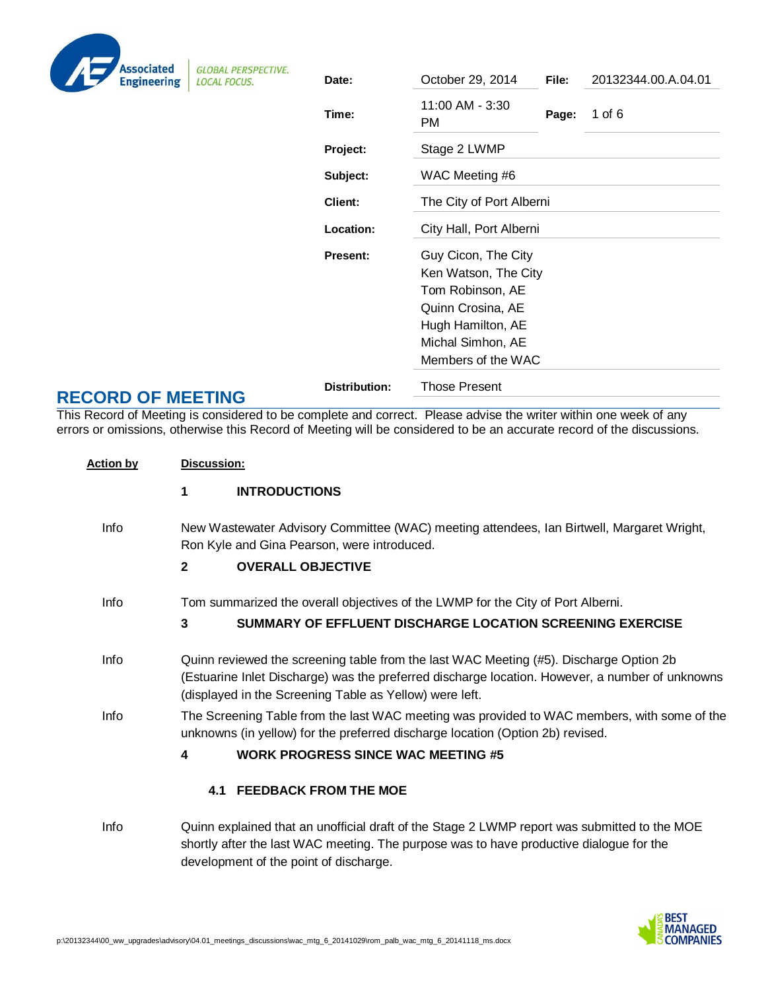| <b>Associated</b><br><b>Engineering</b> |
|-----------------------------------------|

**GLOBAL PERSPECTIVE. LOCAL FOCUS.** 

|                                                                             | Date:                | October 29, 2014                                                                                                                                     | File: | 20132344.00.A.04.01 |
|-----------------------------------------------------------------------------|----------------------|------------------------------------------------------------------------------------------------------------------------------------------------------|-------|---------------------|
|                                                                             | Time:                | 11:00 AM - 3:30<br>РM                                                                                                                                | Page: | 1 of $6$            |
|                                                                             | Project:             | Stage 2 LWMP                                                                                                                                         |       |                     |
|                                                                             | Subject:             | WAC Meeting #6                                                                                                                                       |       |                     |
| The City of Port Alberni<br>Client:<br>City Hall, Port Alberni<br>Location: |                      |                                                                                                                                                      |       |                     |
|                                                                             |                      |                                                                                                                                                      |       |                     |
|                                                                             | <b>Present:</b>      | Guy Cicon, The City<br>Ken Watson, The City<br>Tom Robinson, AE<br>Quinn Crosina, AE<br>Hugh Hamilton, AE<br>Michal Simhon, AE<br>Members of the WAC |       |                     |
|                                                                             | <b>Distribution:</b> | <b>Those Present</b>                                                                                                                                 |       |                     |
|                                                                             |                      |                                                                                                                                                      |       |                     |

# **RECORD OF MEETING**

This Record of Meeting is considered to be complete and correct. Please advise the writer within one week of any errors or omissions, otherwise this Record of Meeting will be considered to be an accurate record of the discussions.

| <b>Action by</b> | Discussion:  |                                                                                                                                                                                                                                                      |
|------------------|--------------|------------------------------------------------------------------------------------------------------------------------------------------------------------------------------------------------------------------------------------------------------|
|                  | 1            | <b>INTRODUCTIONS</b>                                                                                                                                                                                                                                 |
| Info             |              | New Wastewater Advisory Committee (WAC) meeting attendees, Ian Birtwell, Margaret Wright,<br>Ron Kyle and Gina Pearson, were introduced.                                                                                                             |
|                  | $\mathbf{2}$ | <b>OVERALL OBJECTIVE</b>                                                                                                                                                                                                                             |
| <b>Info</b>      |              | Tom summarized the overall objectives of the LWMP for the City of Port Alberni.                                                                                                                                                                      |
|                  | 3            | SUMMARY OF EFFLUENT DISCHARGE LOCATION SCREENING EXERCISE                                                                                                                                                                                            |
| Info             |              | Quinn reviewed the screening table from the last WAC Meeting (#5). Discharge Option 2b<br>(Estuarine Inlet Discharge) was the preferred discharge location. However, a number of unknowns<br>(displayed in the Screening Table as Yellow) were left. |
| Info             |              | The Screening Table from the last WAC meeting was provided to WAC members, with some of the<br>unknowns (in yellow) for the preferred discharge location (Option 2b) revised.                                                                        |
|                  | 4            | <b>WORK PROGRESS SINCE WAC MEETING #5</b>                                                                                                                                                                                                            |
|                  |              | <b>4.1 FEEDBACK FROM THE MOE</b>                                                                                                                                                                                                                     |
| Info             |              | Quinn explained that an unofficial draft of the Stage 2 LWMP report was submitted to the MOE<br>shortly after the last WAC meeting. The purpose was to have productive dialogue for the<br>development of the point of discharge.                    |

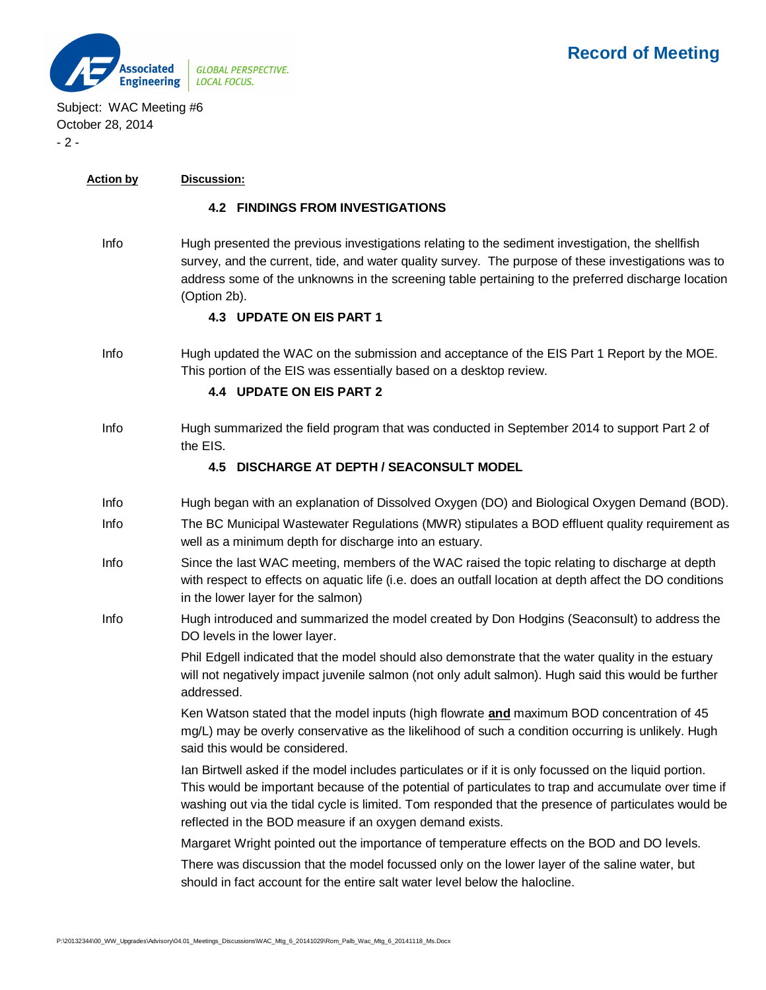

Subject: WAC Meeting #6 October 28, 2014  $-2 -$ 

#### **Action by Discussion:**

#### **4.2 FINDINGS FROM INVESTIGATIONS**

Info Hugh presented the previous investigations relating to the sediment investigation, the shellfish survey, and the current, tide, and water quality survey. The purpose of these investigations was to address some of the unknowns in the screening table pertaining to the preferred discharge location (Option 2b).

#### **4.3 UPDATE ON EIS PART 1**

Info Hugh updated the WAC on the submission and acceptance of the EIS Part 1 Report by the MOE. This portion of the EIS was essentially based on a desktop review.

#### **4.4 UPDATE ON EIS PART 2**

Info Hugh summarized the field program that was conducted in September 2014 to support Part 2 of the EIS.

#### **4.5 DISCHARGE AT DEPTH / SEACONSULT MODEL**

- Info Hugh began with an explanation of Dissolved Oxygen (DO) and Biological Oxygen Demand (BOD).
- Info The BC Municipal Wastewater Regulations (MWR) stipulates a BOD effluent quality requirement as well as a minimum depth for discharge into an estuary.
- Info Since the last WAC meeting, members of the WAC raised the topic relating to discharge at depth with respect to effects on aquatic life (i.e. does an outfall location at depth affect the DO conditions in the lower layer for the salmon)
- Info Hugh introduced and summarized the model created by Don Hodgins (Seaconsult) to address the DO levels in the lower layer.

Phil Edgell indicated that the model should also demonstrate that the water quality in the estuary will not negatively impact juvenile salmon (not only adult salmon). Hugh said this would be further addressed.

Ken Watson stated that the model inputs (high flowrate **and** maximum BOD concentration of 45 mg/L) may be overly conservative as the likelihood of such a condition occurring is unlikely. Hugh said this would be considered.

Ian Birtwell asked if the model includes particulates or if it is only focussed on the liquid portion. This would be important because of the potential of particulates to trap and accumulate over time if washing out via the tidal cycle is limited. Tom responded that the presence of particulates would be reflected in the BOD measure if an oxygen demand exists.

Margaret Wright pointed out the importance of temperature effects on the BOD and DO levels.

There was discussion that the model focussed only on the lower layer of the saline water, but should in fact account for the entire salt water level below the halocline.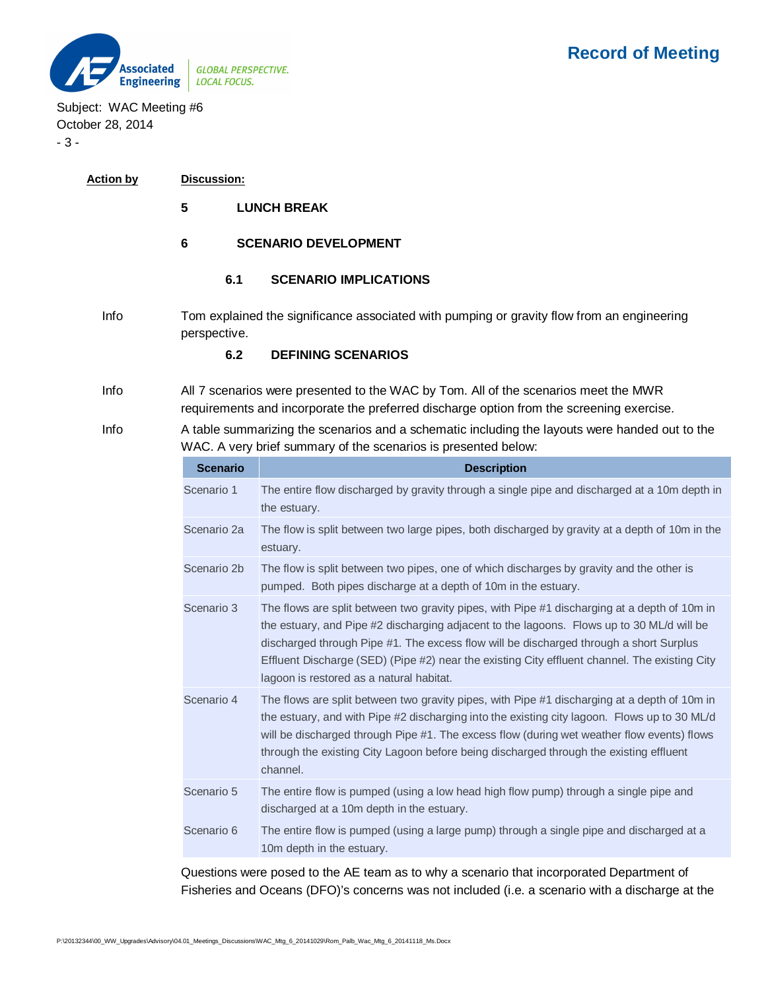

Subject: WAC Meeting #6 October 28, 2014 - 3 -

| <b>Action by</b> | Discussion: |
|------------------|-------------|
|------------------|-------------|

- **5 LUNCH BREAK**
- **6 SCENARIO DEVELOPMENT**
	- **6.1 SCENARIO IMPLICATIONS**
- Info Tom explained the significance associated with pumping or gravity flow from an engineering perspective.

## **6.2 DEFINING SCENARIOS**

- Info All 7 scenarios were presented to the WAC by Tom. All of the scenarios meet the MWR requirements and incorporate the preferred discharge option from the screening exercise.
- Info A table summarizing the scenarios and a schematic including the layouts were handed out to the WAC. A very brief summary of the scenarios is presented below:

| <b>Scenario</b> | <b>Description</b>                                                                                                                                                                                                                                                                                                                                                                                                               |
|-----------------|----------------------------------------------------------------------------------------------------------------------------------------------------------------------------------------------------------------------------------------------------------------------------------------------------------------------------------------------------------------------------------------------------------------------------------|
| Scenario 1      | The entire flow discharged by gravity through a single pipe and discharged at a 10m depth in<br>the estuary.                                                                                                                                                                                                                                                                                                                     |
| Scenario 2a     | The flow is split between two large pipes, both discharged by gravity at a depth of 10m in the<br>estuary.                                                                                                                                                                                                                                                                                                                       |
| Scenario 2b     | The flow is split between two pipes, one of which discharges by gravity and the other is<br>pumped. Both pipes discharge at a depth of 10m in the estuary.                                                                                                                                                                                                                                                                       |
| Scenario 3      | The flows are split between two gravity pipes, with Pipe #1 discharging at a depth of 10m in<br>the estuary, and Pipe #2 discharging adjacent to the lagoons. Flows up to 30 ML/d will be<br>discharged through Pipe #1. The excess flow will be discharged through a short Surplus<br>Effluent Discharge (SED) (Pipe #2) near the existing City effluent channel. The existing City<br>lagoon is restored as a natural habitat. |
| Scenario 4      | The flows are split between two gravity pipes, with Pipe #1 discharging at a depth of 10m in<br>the estuary, and with Pipe #2 discharging into the existing city lagoon. Flows up to 30 ML/d<br>will be discharged through Pipe #1. The excess flow (during wet weather flow events) flows<br>through the existing City Lagoon before being discharged through the existing effluent<br>channel.                                 |
| Scenario 5      | The entire flow is pumped (using a low head high flow pump) through a single pipe and<br>discharged at a 10m depth in the estuary.                                                                                                                                                                                                                                                                                               |
| Scenario 6      | The entire flow is pumped (using a large pump) through a single pipe and discharged at a<br>10m depth in the estuary.                                                                                                                                                                                                                                                                                                            |

Questions were posed to the AE team as to why a scenario that incorporated Department of Fisheries and Oceans (DFO)'s concerns was not included (i.e. a scenario with a discharge at the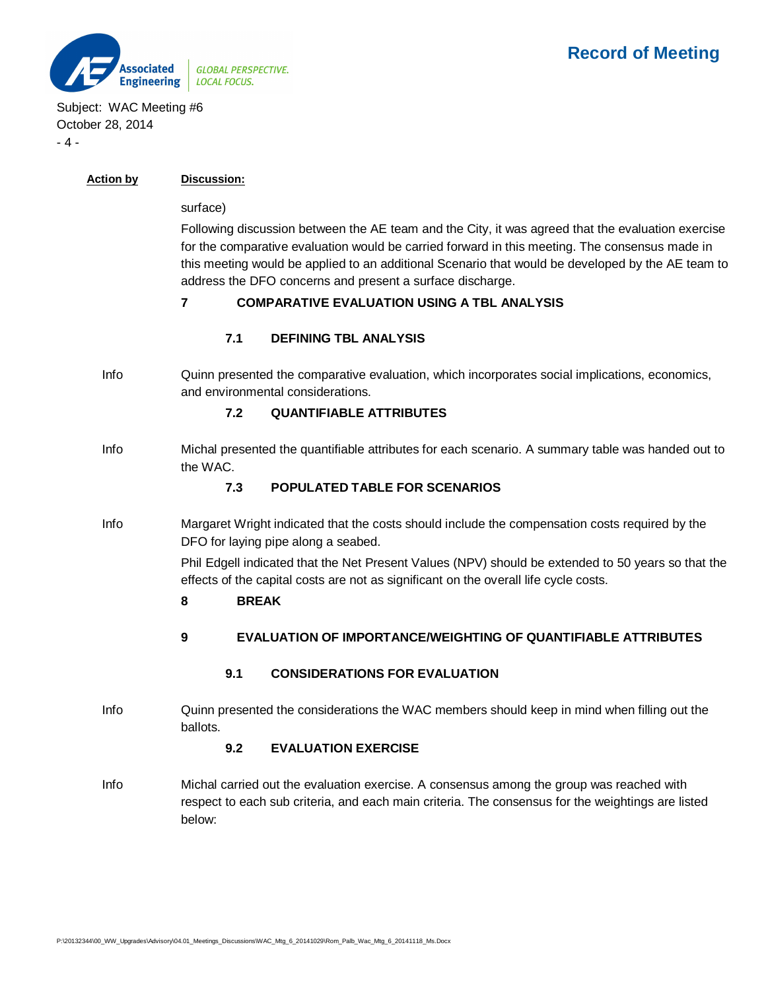

**Action by Discussion:**

## Subject: WAC Meeting #6 October 28, 2014  $-4 -$

| ACUOLI DV | DISCUSSIUII.                                                                                                                                                                                                                                                                                                                                                          |  |  |
|-----------|-----------------------------------------------------------------------------------------------------------------------------------------------------------------------------------------------------------------------------------------------------------------------------------------------------------------------------------------------------------------------|--|--|
|           | surface)                                                                                                                                                                                                                                                                                                                                                              |  |  |
|           | Following discussion between the AE team and the City, it was agreed that the evaluation exercise<br>for the comparative evaluation would be carried forward in this meeting. The consensus made in<br>this meeting would be applied to an additional Scenario that would be developed by the AE team to<br>address the DFO concerns and present a surface discharge. |  |  |
|           | <b>COMPARATIVE EVALUATION USING A TBL ANALYSIS</b>                                                                                                                                                                                                                                                                                                                    |  |  |
|           | <b>DEFINING TBL ANALYSIS</b><br>7.1                                                                                                                                                                                                                                                                                                                                   |  |  |
| Inf∩.     | Oujnn procented the comparative evaluation, which incorporates social implications, economics                                                                                                                                                                                                                                                                         |  |  |

Info Quinn presented the comparative evaluation, which incorporates social implications, economics, and environmental considerations.

# **7.2 QUANTIFIABLE ATTRIBUTES**

Info Michal presented the quantifiable attributes for each scenario. A summary table was handed out to the WAC.

## **7.3 POPULATED TABLE FOR SCENARIOS**

Info Margaret Wright indicated that the costs should include the compensation costs required by the DFO for laying pipe along a seabed.

> Phil Edgell indicated that the Net Present Values (NPV) should be extended to 50 years so that the effects of the capital costs are not as significant on the overall life cycle costs.

#### **8 BREAK**

**9 EVALUATION OF IMPORTANCE/WEIGHTING OF QUANTIFIABLE ATTRIBUTES**

#### **9.1 CONSIDERATIONS FOR EVALUATION**

Info Quinn presented the considerations the WAC members should keep in mind when filling out the ballots.

#### **9.2 EVALUATION EXERCISE**

Info Michal carried out the evaluation exercise. A consensus among the group was reached with respect to each sub criteria, and each main criteria. The consensus for the weightings are listed below: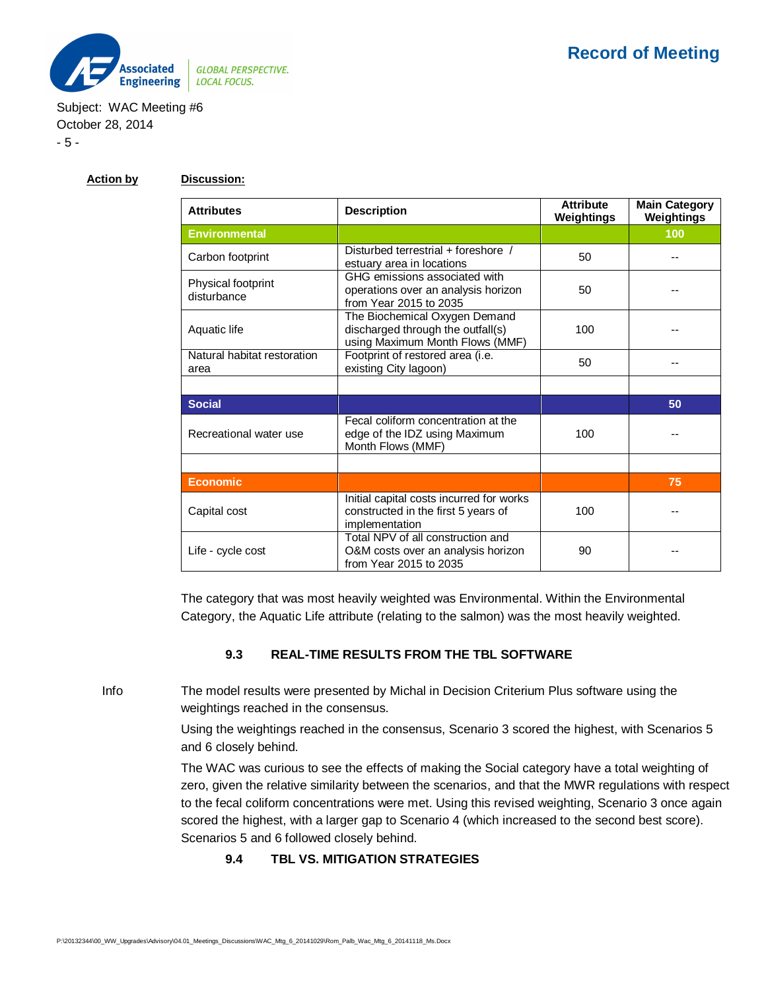

Subject: WAC Meeting #6 October 28, 2014 - 5 -

# **Action by Discussion:**

| <b>Attributes</b>                   | <b>Description</b>                                                                                    | <b>Attribute</b><br>Weightings | <b>Main Category</b><br>Weightings |
|-------------------------------------|-------------------------------------------------------------------------------------------------------|--------------------------------|------------------------------------|
| <b>Environmental</b>                |                                                                                                       |                                | 100                                |
| Carbon footprint                    | Disturbed terrestrial + foreshore /<br>estuary area in locations                                      | 50                             |                                    |
| Physical footprint<br>disturbance   | GHG emissions associated with<br>operations over an analysis horizon<br>from Year 2015 to 2035        | 50                             |                                    |
| Aquatic life                        | The Biochemical Oxygen Demand<br>discharged through the outfall(s)<br>using Maximum Month Flows (MMF) | 100                            |                                    |
| Natural habitat restoration<br>area | Footprint of restored area (i.e.<br>existing City lagoon)                                             | 50                             |                                    |
|                                     |                                                                                                       |                                |                                    |
| <b>Social</b>                       |                                                                                                       |                                | 50                                 |
| Recreational water use              | Fecal coliform concentration at the<br>edge of the IDZ using Maximum<br>Month Flows (MMF)             | 100                            |                                    |
|                                     |                                                                                                       |                                |                                    |
| <b>Economic</b>                     |                                                                                                       |                                | 75                                 |
| Capital cost                        | Initial capital costs incurred for works<br>constructed in the first 5 years of<br>implementation     | 100                            |                                    |
| Life - cycle cost                   | Total NPV of all construction and<br>O&M costs over an analysis horizon<br>from Year 2015 to 2035     | 90                             |                                    |

The category that was most heavily weighted was Environmental. Within the Environmental Category, the Aquatic Life attribute (relating to the salmon) was the most heavily weighted.

#### **9.3 REAL-TIME RESULTS FROM THE TBL SOFTWARE**

Info The model results were presented by Michal in Decision Criterium Plus software using the weightings reached in the consensus.

> Using the weightings reached in the consensus, Scenario 3 scored the highest, with Scenarios 5 and 6 closely behind.

The WAC was curious to see the effects of making the Social category have a total weighting of zero, given the relative similarity between the scenarios, and that the MWR regulations with respect to the fecal coliform concentrations were met. Using this revised weighting, Scenario 3 once again scored the highest, with a larger gap to Scenario 4 (which increased to the second best score). Scenarios 5 and 6 followed closely behind.

#### **9.4 TBL VS. MITIGATION STRATEGIES**